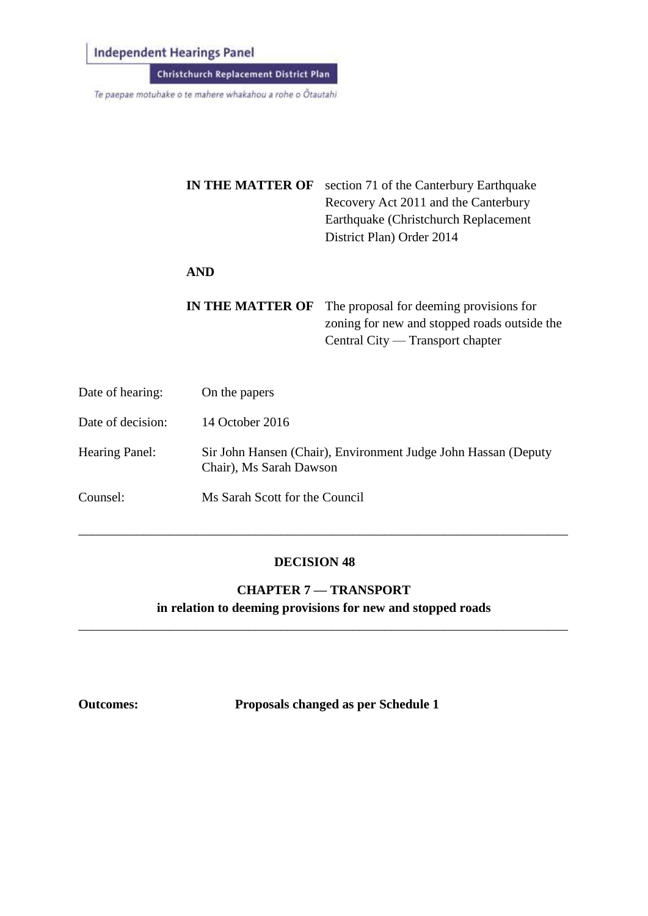**Independent Hearings Panel** 

Christchurch Replacement District Plan

Te paepae motuhake o te mahere whakahou a rohe o Ōtautahi

|                   | <b>IN THE MATTER OF</b> | section 71 of the Canterbury Earthquake<br>Recovery Act 2011 and the Canterbury<br>Earthquake (Christchurch Replacement)<br>District Plan) Order 2014 |
|-------------------|-------------------------|-------------------------------------------------------------------------------------------------------------------------------------------------------|
|                   | <b>AND</b>              |                                                                                                                                                       |
|                   | IN THE MATTER OF        | The proposal for deeming provisions for<br>zoning for new and stopped roads outside the<br>Central City — Transport chapter                           |
| Date of hearing:  | On the papers           |                                                                                                                                                       |
| Date of decision: | 14 October 2016         |                                                                                                                                                       |

Hearing Panel: Sir John Hansen (Chair), Environment Judge John Hassan (Deputy Chair), Ms Sarah Dawson

Counsel: Ms Sarah Scott for the Council

### **DECISION 48**

\_\_\_\_\_\_\_\_\_\_\_\_\_\_\_\_\_\_\_\_\_\_\_\_\_\_\_\_\_\_\_\_\_\_\_\_\_\_\_\_\_\_\_\_\_\_\_\_\_\_\_\_\_\_\_\_\_\_\_\_\_\_\_\_\_\_\_\_\_\_\_\_\_\_\_

**CHAPTER 7 — TRANSPORT in relation to deeming provisions for new and stopped roads**

\_\_\_\_\_\_\_\_\_\_\_\_\_\_\_\_\_\_\_\_\_\_\_\_\_\_\_\_\_\_\_\_\_\_\_\_\_\_\_\_\_\_\_\_\_\_\_\_\_\_\_\_\_\_\_\_\_\_\_\_\_\_\_\_\_\_\_\_\_\_\_\_\_\_\_

**Outcomes: Proposals changed as per Schedule 1**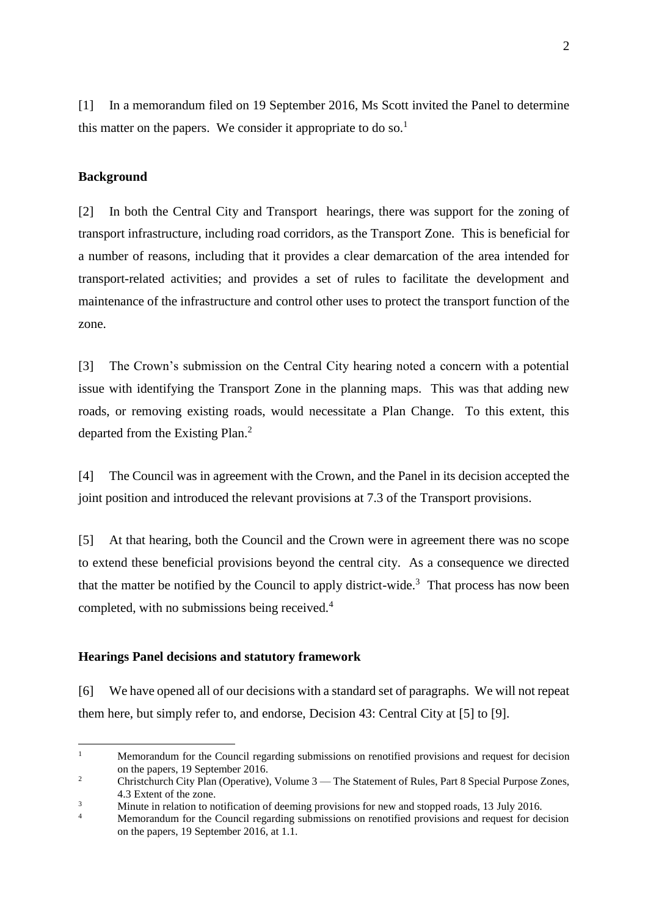[1] In a memorandum filed on 19 September 2016, Ms Scott invited the Panel to determine this matter on the papers. We consider it appropriate to do so.<sup>1</sup>

### **Background**

[2] In both the Central City and Transport hearings, there was support for the zoning of transport infrastructure, including road corridors, as the Transport Zone. This is beneficial for a number of reasons, including that it provides a clear demarcation of the area intended for transport-related activities; and provides a set of rules to facilitate the development and maintenance of the infrastructure and control other uses to protect the transport function of the zone.

[3] The Crown's submission on the Central City hearing noted a concern with a potential issue with identifying the Transport Zone in the planning maps. This was that adding new roads, or removing existing roads, would necessitate a Plan Change. To this extent, this departed from the Existing Plan.<sup>2</sup>

[4] The Council was in agreement with the Crown, and the Panel in its decision accepted the joint position and introduced the relevant provisions at 7.3 of the Transport provisions.

[5] At that hearing, both the Council and the Crown were in agreement there was no scope to extend these beneficial provisions beyond the central city. As a consequence we directed that the matter be notified by the Council to apply district-wide.<sup>3</sup> That process has now been completed, with no submissions being received.<sup>4</sup>

#### **Hearings Panel decisions and statutory framework**

[6] We have opened all of our decisions with a standard set of paragraphs. We will not repeat them here, but simply refer to, and endorse, Decision 43: Central City at [5] to [9].

 $\mathbf{1}$ <sup>1</sup> Memorandum for the Council regarding submissions on renotified provisions and request for decision on the papers, 19 September 2016.

<sup>&</sup>lt;sup>2</sup> Christchurch City Plan (Operative), Volume 3 — The Statement of Rules, Part 8 Special Purpose Zones, 4.3 Extent of the zone.

<sup>&</sup>lt;sup>3</sup><br>Minute in relation to notification of deeming provisions for new and stopped roads, 13 July 2016.

Memorandum for the Council regarding submissions on renotified provisions and request for decision on the papers, 19 September 2016, at 1.1.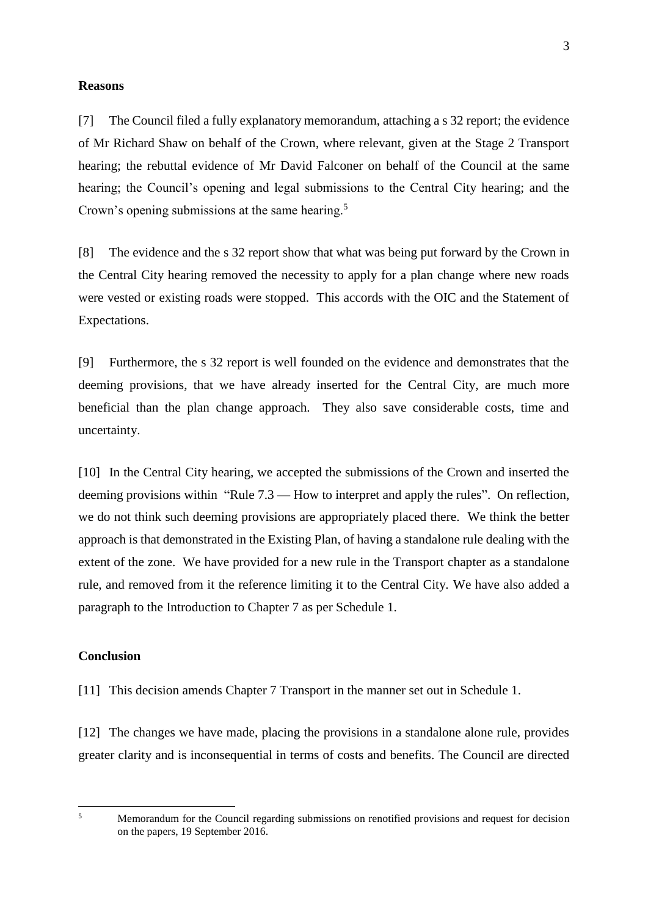#### **Reasons**

[7] The Council filed a fully explanatory memorandum, attaching a s 32 report; the evidence of Mr Richard Shaw on behalf of the Crown, where relevant, given at the Stage 2 Transport hearing; the rebuttal evidence of Mr David Falconer on behalf of the Council at the same hearing; the Council's opening and legal submissions to the Central City hearing; and the Crown's opening submissions at the same hearing.<sup>5</sup>

[8] The evidence and the s 32 report show that what was being put forward by the Crown in the Central City hearing removed the necessity to apply for a plan change where new roads were vested or existing roads were stopped. This accords with the OIC and the Statement of Expectations.

[9] Furthermore, the s 32 report is well founded on the evidence and demonstrates that the deeming provisions, that we have already inserted for the Central City, are much more beneficial than the plan change approach. They also save considerable costs, time and uncertainty.

[10] In the Central City hearing, we accepted the submissions of the Crown and inserted the deeming provisions within "Rule 7.3 — How to interpret and apply the rules". On reflection, we do not think such deeming provisions are appropriately placed there. We think the better approach is that demonstrated in the Existing Plan, of having a standalone rule dealing with the extent of the zone. We have provided for a new rule in the Transport chapter as a standalone rule, and removed from it the reference limiting it to the Central City. We have also added a paragraph to the Introduction to Chapter 7 as per Schedule 1.

### **Conclusion**

[11] This decision amends Chapter 7 Transport in the manner set out in Schedule 1.

[12] The changes we have made, placing the provisions in a standalone alone rule, provides greater clarity and is inconsequential in terms of costs and benefits. The Council are directed

1

<sup>&</sup>lt;sup>5</sup> Memorandum for the Council regarding submissions on renotified provisions and request for decision on the papers, 19 September 2016.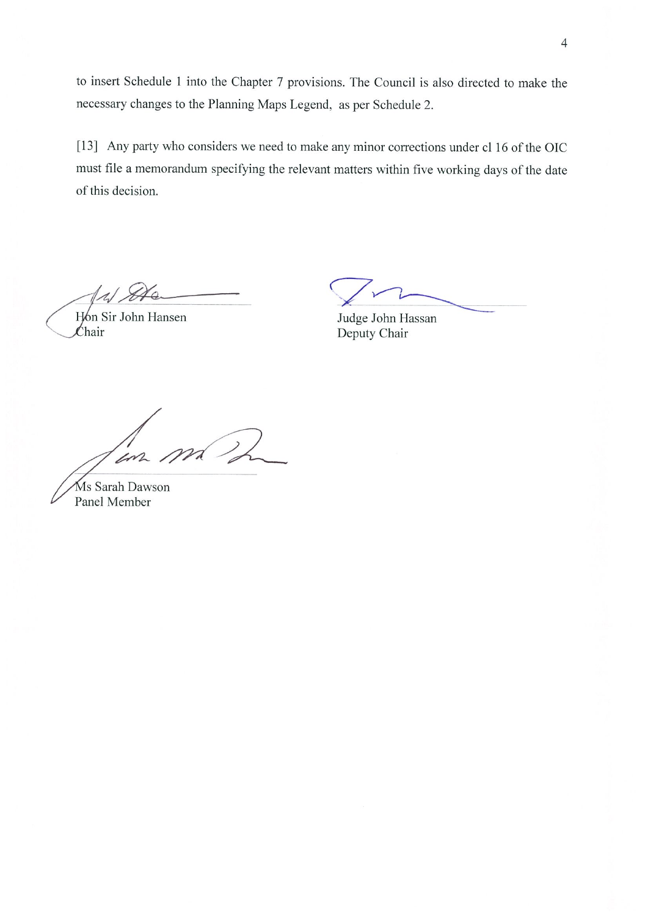to insert Schedule 1 into the Chapter 7 provisions. The Council is also directed to make the necessary changes to the Planning Maps Legend, as per Schedule 2.

[13] Any party who considers we need to make any minor corrections under cl 16 of the OIC must file a memorandum specifying the relevant matters within five working days of the date of this decision.

Hón Sir John Hansen  $\mathcal{L}$ hair

Judge John Hassan Deputy Chair

 $m\llap/$ in

Ms Sarah Dawson Panel Member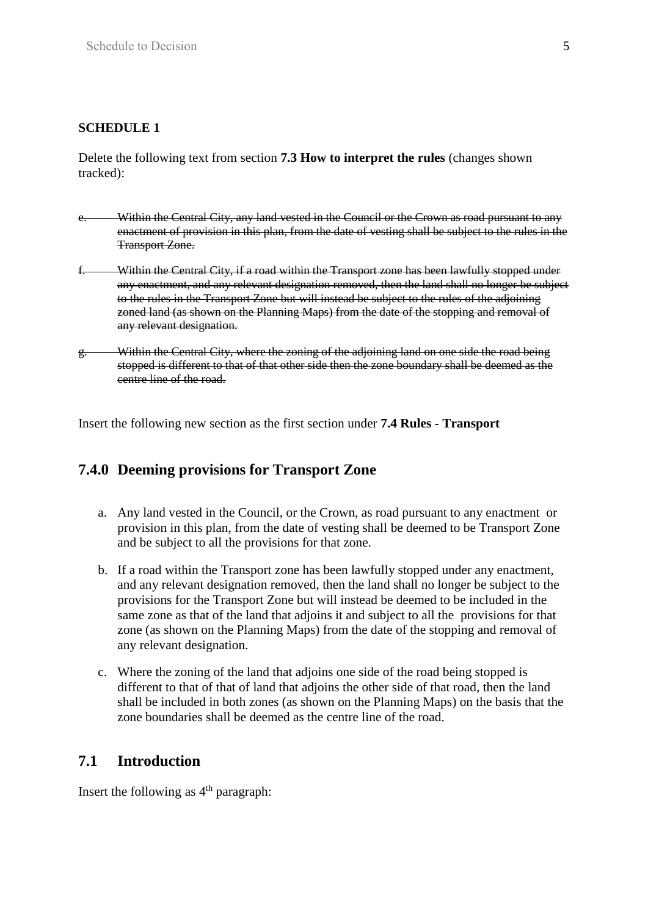## **SCHEDULE 1**

Delete the following text from section **7.3 How to interpret the rules** (changes shown tracked):

- e. Within the Central City, any land vested in the Council or the Crown as road pursuant to any enactment of provision in this plan, from the date of vesting shall be subject to the rules in the Transport Zone.
- f. Within the Central City, if a road within the Transport zone has been lawfully stopped under any enactment, and any relevant designation removed, then the land shall no longer be subject to the rules in the Transport Zone but will instead be subject to the rules of the adjoining zoned land (as shown on the Planning Maps) from the date of the stopping and removal of any relevant designation.
- g. Within the Central City, where the zoning of the adjoining land on one side the road being stopped is different to that of that other side then the zone boundary shall be deemed as the centre line of the road.

Insert the following new section as the first section under **7.4 Rules - Transport**

# **7.4.0 Deeming provisions for Transport Zone**

- a. Any land vested in the Council, or the Crown, as road pursuant to any enactment or provision in this plan, from the date of vesting shall be deemed to be Transport Zone and be subject to all the provisions for that zone.
- b. If a road within the Transport zone has been lawfully stopped under any enactment, and any relevant designation removed, then the land shall no longer be subject to the provisions for the Transport Zone but will instead be deemed to be included in the same zone as that of the land that adjoins it and subject to all the provisions for that zone (as shown on the Planning Maps) from the date of the stopping and removal of any relevant designation.
- c. Where the zoning of the land that adjoins one side of the road being stopped is different to that of that of land that adjoins the other side of that road, then the land shall be included in both zones (as shown on the Planning Maps) on the basis that the zone boundaries shall be deemed as the centre line of the road.

# **7.1 Introduction**

Insert the following as  $4<sup>th</sup>$  paragraph: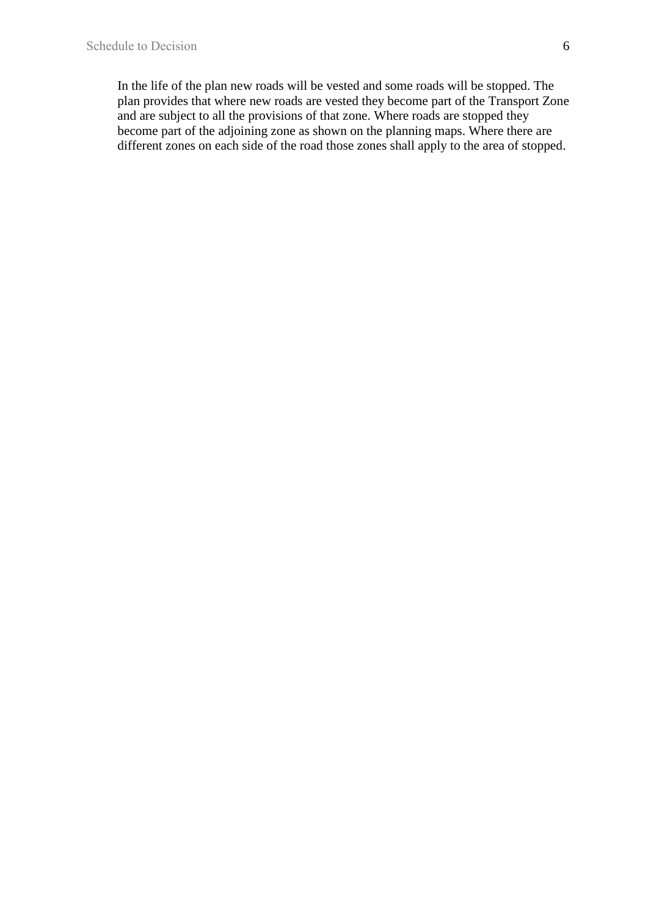In the life of the plan new roads will be vested and some roads will be stopped. The plan provides that where new roads are vested they become part of the Transport Zone and are subject to all the provisions of that zone. Where roads are stopped they become part of the adjoining zone as shown on the planning maps. Where there are different zones on each side of the road those zones shall apply to the area of stopped.